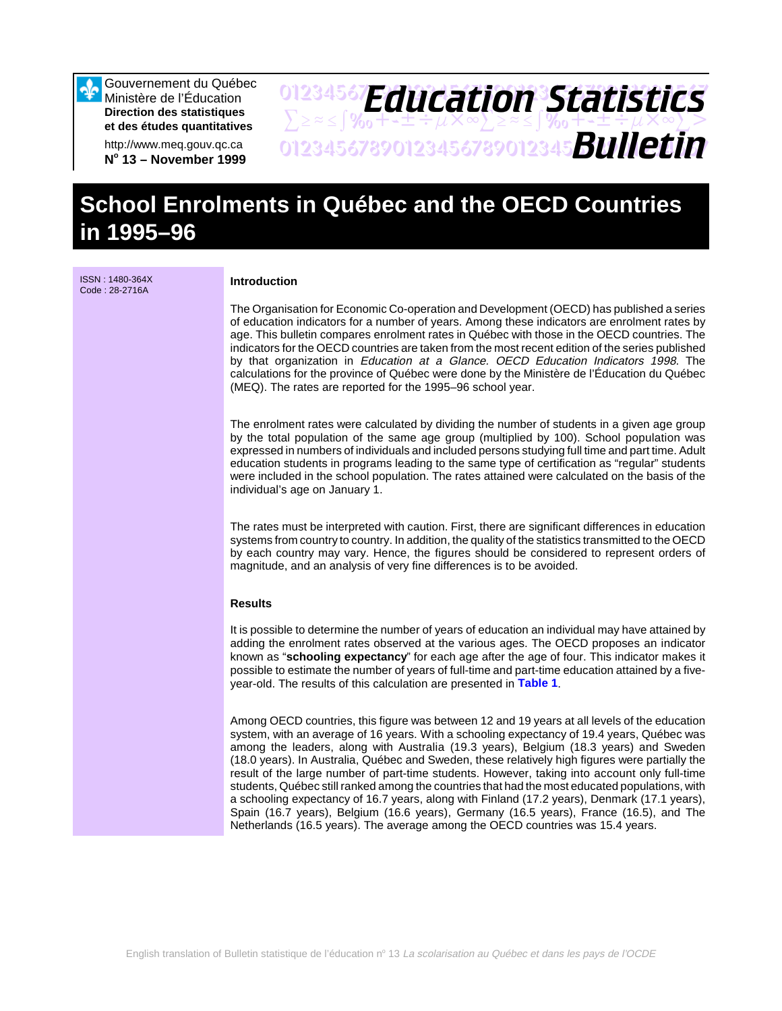Gouvernement du Québec Ministère de l'Éducation **Direction des statistiques et des études quantitatives**

http://www.meq.gouv.qc.ca **No 13 – November 1999**

## 01234567**F***Anri Stion Statictice*  $\sum z \approx \int \mathcal{Y}_{0} + \pm \pm \div \mu \times \infty$  $\sum z \approx \pm \int \mathcal{Y}_{0} + \pm \pm \div \mu \times \infty$ 01234567890123456789012345678901234567 *Bulletin Education Statistics*

# **School Enrolments in Québec and the OECD Countries in 1995–96**

ISSN : 1480-364X Code : 28-2716A

## **Introduction**

The Organisation for Economic Co-operation and Development (OECD) has published a series of education indicators for a number of years. Among these indicators are enrolment rates by age. This bulletin compares enrolment rates in Québec with those in the OECD countries. The indicators for the OECD countries are taken from the most recent edition of the series published by that organization in Education at a Glance. OECD Education Indicators 1998. The calculations for the province of Québec were done by the Ministère de l'Éducation du Québec (MEQ). The rates are reported for the 1995–96 school year.

The enrolment rates were calculated by dividing the number of students in a given age group by the total population of the same age group (multiplied by 100). School population was expressed in numbers of individuals and included persons studying full time and part time. Adult education students in programs leading to the same type of certification as "regular" students were included in the school population. The rates attained were calculated on the basis of the individual's age on January 1.

The rates must be interpreted with caution. First, there are significant differences in education systems from country to country. In addition, the quality of the statistics transmitted to the OECD by each country may vary. Hence, the figures should be considered to represent orders of magnitude, and an analysis of very fine differences is to be avoided.

#### **Results**

It is possible to determine the number of years of education an individual may have attained by adding the enrolment rates observed at the various ages. The OECD proposes an indicator known as "**schooling expectancy**" for each age after the age of four. This indicator makes it possible to estimate the number of years of full-time and part-time education attained by a fiveyear-old. The results of this calculation are presented in **[Table 1](#page-3-0)**.

Among OECD countries, this figure was between 12 and 19 years at all levels of the education system, with an average of 16 years. With a schooling expectancy of 19.4 years, Québec was among the leaders, along with Australia (19.3 years), Belgium (18.3 years) and Sweden (18.0 years). In Australia, Québec and Sweden, these relatively high figures were partially the result of the large number of part-time students. However, taking into account only full-time students, Québec still ranked among the countries that had the most educated populations, with a schooling expectancy of 16.7 years, along with Finland (17.2 years), Denmark (17.1 years), Spain (16.7 years), Belgium (16.6 years), Germany (16.5 years), France (16.5), and The Netherlands (16.5 years). The average among the OECD countries was 15.4 years.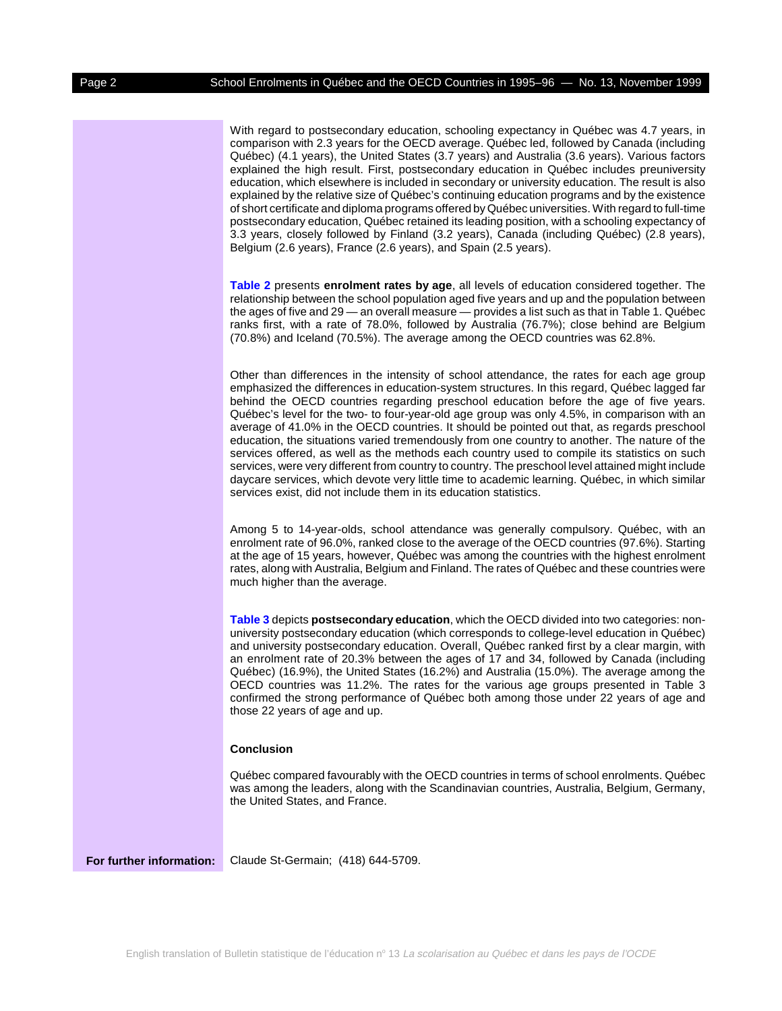With regard to postsecondary education, schooling expectancy in Québec was 4.7 years, in comparison with 2.3 years for the OECD average. Québec led, followed by Canada (including Québec) (4.1 years), the United States (3.7 years) and Australia (3.6 years). Various factors explained the high result. First, postsecondary education in Québec includes preuniversity education, which elsewhere is included in secondary or university education. The result is also explained by the relative size of Québec's continuing education programs and by the existence of short certificate and diploma programs offered by Québec universities. With regard to full-time postsecondary education, Québec retained its leading position, with a schooling expectancy of 3.3 years, closely followed by Finland (3.2 years), Canada (including Québec) (2.8 years), Belgium (2.6 years), France (2.6 years), and Spain (2.5 years).

**[Table 2](#page-4-0)** presents **enrolment rates by age**, all levels of education considered together. The relationship between the school population aged five years and up and the population between the ages of five and 29 — an overall measure — provides a list such as that in Table 1. Québec ranks first, with a rate of 78.0%, followed by Australia (76.7%); close behind are Belgium (70.8%) and Iceland (70.5%). The average among the OECD countries was 62.8%.

Other than differences in the intensity of school attendance, the rates for each age group emphasized the differences in education-system structures. In this regard, Québec lagged far behind the OECD countries regarding preschool education before the age of five years. Québec's level for the two- to four-year-old age group was only 4.5%, in comparison with an average of 41.0% in the OECD countries. It should be pointed out that, as regards preschool education, the situations varied tremendously from one country to another. The nature of the services offered, as well as the methods each country used to compile its statistics on such services, were very different from country to country. The preschool level attained might include daycare services, which devote very little time to academic learning. Québec, in which similar services exist, did not include them in its education statistics.

Among 5 to 14-year-olds, school attendance was generally compulsory. Québec, with an enrolment rate of 96.0%, ranked close to the average of the OECD countries (97.6%). Starting at the age of 15 years, however, Québec was among the countries with the highest enrolment rates, along with Australia, Belgium and Finland. The rates of Québec and these countries were much higher than the average.

**[Table 3](#page-5-0)** depicts **postsecondary education**, which the OECD divided into two categories: nonuniversity postsecondary education (which corresponds to college-level education in Québec) and university postsecondary education. Overall, Québec ranked first by a clear margin, with an enrolment rate of 20.3% between the ages of 17 and 34, followed by Canada (including Québec) (16.9%), the United States (16.2%) and Australia (15.0%). The average among the OECD countries was 11.2%. The rates for the various age groups presented in Table 3 confirmed the strong performance of Québec both among those under 22 years of age and those 22 years of age and up.

### **Conclusion**

Québec compared favourably with the OECD countries in terms of school enrolments. Québec was among the leaders, along with the Scandinavian countries, Australia, Belgium, Germany, the United States, and France.

**For further information:** Claude St-Germain; (418) 644-5709.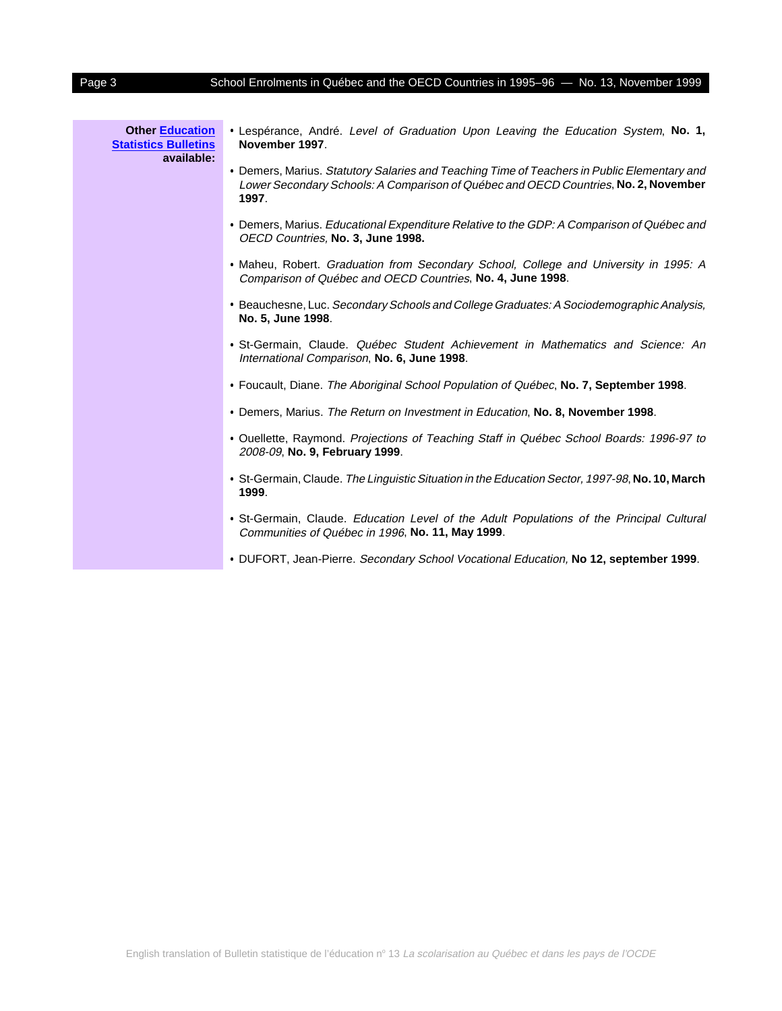## Page 3 School Enrolments in Québec and the OECD Countries in 1995–96 - No. 13, November 1999

| <b>Other Education</b><br><b>Statistics Bulletins</b><br>available: | . Lespérance, André. Level of Graduation Upon Leaving the Education System, No. 1,<br>November 1997.                                                                                        |
|---------------------------------------------------------------------|---------------------------------------------------------------------------------------------------------------------------------------------------------------------------------------------|
|                                                                     | • Demers, Marius. Statutory Salaries and Teaching Time of Teachers in Public Elementary and<br>Lower Secondary Schools: A Comparison of Québec and OECD Countries, No. 2, November<br>1997. |
|                                                                     | • Demers, Marius. Educational Expenditure Relative to the GDP: A Comparison of Québec and<br>OECD Countries, No. 3, June 1998.                                                              |
|                                                                     | • Maheu, Robert. Graduation from Secondary School, College and University in 1995: A<br>Comparison of Québec and OECD Countries, No. 4, June 1998.                                          |
|                                                                     | • Beauchesne, Luc. Secondary Schools and College Graduates: A Sociodemographic Analysis,<br>No. 5, June 1998.                                                                               |
|                                                                     | • St-Germain, Claude. Québec Student Achievement in Mathematics and Science: An<br>International Comparison, No. 6, June 1998.                                                              |
|                                                                     | • Foucault, Diane. The Aboriginal School Population of Québec, No. 7, September 1998.                                                                                                       |
|                                                                     | . Demers, Marius. The Return on Investment in Education, No. 8, November 1998.                                                                                                              |
|                                                                     | • Ouellette, Raymond. Projections of Teaching Staff in Québec School Boards: 1996-97 to<br>2008-09, No. 9, February 1999.                                                                   |
|                                                                     | • St-Germain, Claude. The Linguistic Situation in the Education Sector, 1997-98, No. 10, March<br>1999.                                                                                     |
|                                                                     | · St-Germain, Claude. Education Level of the Adult Populations of the Principal Cultural<br>Communities of Québec in 1996, No. 11, May 1999.                                                |
|                                                                     | • DUFORT, Jean-Pierre. Secondary School Vocational Education, No 12, september 1999.                                                                                                        |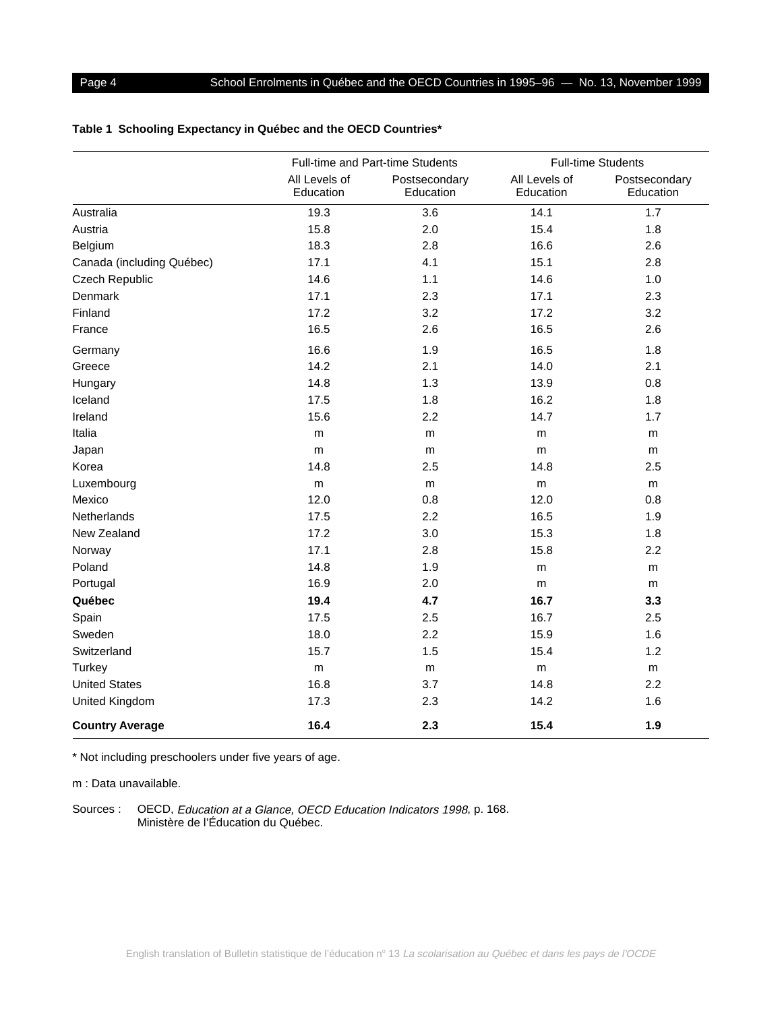## <span id="page-3-0"></span>**Table 1 Schooling Expectancy in Québec and the OECD Countries\***

|                           |                            | Full-time and Part-time Students | <b>Full-time Students</b>  |                            |  |
|---------------------------|----------------------------|----------------------------------|----------------------------|----------------------------|--|
|                           | All Levels of<br>Education | Postsecondary<br>Education       | All Levels of<br>Education | Postsecondary<br>Education |  |
| Australia                 | 19.3                       | 3.6                              | 14.1                       | 1.7                        |  |
| Austria                   | 15.8                       | 2.0                              | 15.4                       | 1.8                        |  |
| Belgium                   | 18.3                       | 2.8                              | 16.6                       | 2.6                        |  |
| Canada (including Québec) | 17.1                       | 4.1                              | 15.1                       | 2.8                        |  |
| Czech Republic            | 14.6                       | 1.1                              | 14.6                       | 1.0                        |  |
| Denmark                   | 17.1                       | 2.3                              | 17.1                       | 2.3                        |  |
| Finland                   | 17.2                       | 3.2                              | 17.2                       | 3.2                        |  |
| France                    | 16.5                       | 2.6                              | 16.5                       | 2.6                        |  |
| Germany                   | 16.6                       | 1.9                              | 16.5                       | 1.8                        |  |
| Greece                    | 14.2                       | 2.1                              | 14.0                       | 2.1                        |  |
| Hungary                   | 14.8                       | 1.3                              | 13.9                       | 0.8                        |  |
| Iceland                   | 17.5                       | 1.8                              | 16.2                       | 1.8                        |  |
| Ireland                   | 15.6                       | 2.2                              | 14.7                       | 1.7                        |  |
| Italia                    | m                          | m                                | m                          | m                          |  |
| Japan                     | m                          | m                                | m                          | m                          |  |
| Korea                     | 14.8                       | 2.5                              | 14.8                       | 2.5                        |  |
| Luxembourg                | m                          | m                                | m                          | m                          |  |
| Mexico                    | 12.0                       | 0.8                              | 12.0                       | 0.8                        |  |
| Netherlands               | 17.5                       | 2.2                              | 16.5                       | 1.9                        |  |
| New Zealand               | 17.2                       | 3.0                              | 15.3                       | 1.8                        |  |
| Norway                    | 17.1                       | 2.8                              | 15.8                       | 2.2                        |  |
| Poland                    | 14.8                       | 1.9                              | m                          | m                          |  |
| Portugal                  | 16.9                       | 2.0                              | m                          | m                          |  |
| Québec                    | 19.4                       | 4.7                              | 16.7                       | 3.3                        |  |
| Spain                     | 17.5                       | 2.5                              | 16.7                       | 2.5                        |  |
| Sweden                    | 18.0                       | 2.2                              | 15.9                       | 1.6                        |  |
| Switzerland               | 15.7                       | 1.5                              | 15.4                       | 1.2                        |  |
| Turkey                    | ${\sf m}$                  | m                                | m                          | m                          |  |
| <b>United States</b>      | 16.8                       | 3.7                              | 14.8                       | 2.2                        |  |
| United Kingdom            | 17.3                       | 2.3                              | 14.2                       | 1.6                        |  |
| <b>Country Average</b>    | 16.4                       | 2.3                              | 15.4                       | 1.9                        |  |

\* Not including preschoolers under five years of age.

m : Data unavailable.

Sources : OECD, Education at a Glance, OECD Education Indicators 1998, p. 168. Ministère de l'Éducation du Québec.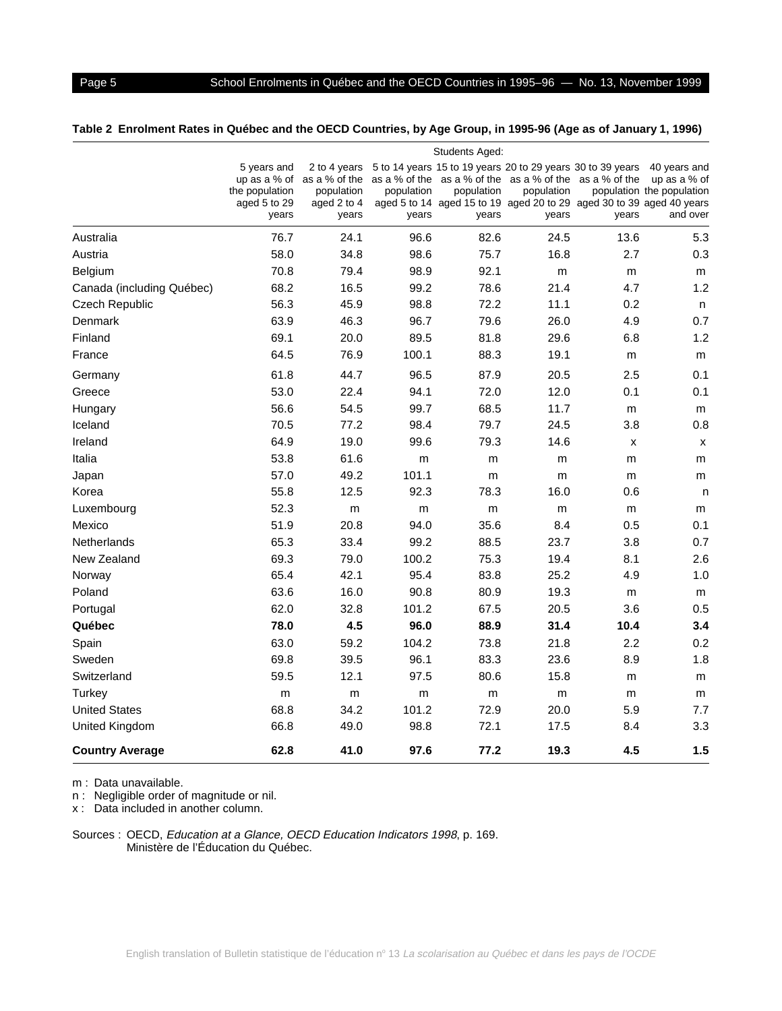## <span id="page-4-0"></span>Page 5 School Enrolments in Québec and the OECD Countries in 1995–96 - No. 13, November 1999

## **Table 2 Enrolment Rates in Québec and the OECD Countries, by Age Group, in 1995-96 (Age as of January 1, 1996)**

|                           | Students Aged:                                         |                                                                                  |                     |                     |                     |                                                                                                                                                                                                        |                                                                         |  |
|---------------------------|--------------------------------------------------------|----------------------------------------------------------------------------------|---------------------|---------------------|---------------------|--------------------------------------------------------------------------------------------------------------------------------------------------------------------------------------------------------|-------------------------------------------------------------------------|--|
|                           | 5 years and<br>the population<br>aged 5 to 29<br>years | 2 to 4 years<br>up as a % of as a % of the<br>population<br>aged 2 to 4<br>years | population<br>years | population<br>years | population<br>years | 5 to 14 years 15 to 19 years 20 to 29 years 30 to 39 years<br>as a % of the as a % of the as a % of the as a % of the<br>aged 5 to 14 aged 15 to 19 aged 20 to 29 aged 30 to 39 aged 40 years<br>years | 40 years and<br>up as a $%$ of<br>population the population<br>and over |  |
| Australia                 | 76.7                                                   | 24.1                                                                             | 96.6                | 82.6                | 24.5                | 13.6                                                                                                                                                                                                   | 5.3                                                                     |  |
| Austria                   | 58.0                                                   | 34.8                                                                             | 98.6                | 75.7                | 16.8                | 2.7                                                                                                                                                                                                    | 0.3                                                                     |  |
| <b>Belgium</b>            | 70.8                                                   | 79.4                                                                             | 98.9                | 92.1                | m                   | m                                                                                                                                                                                                      | m                                                                       |  |
| Canada (including Québec) | 68.2                                                   | 16.5                                                                             | 99.2                | 78.6                | 21.4                | 4.7                                                                                                                                                                                                    | 1.2                                                                     |  |
| Czech Republic            | 56.3                                                   | 45.9                                                                             | 98.8                | 72.2                | 11.1                | 0.2                                                                                                                                                                                                    | n                                                                       |  |
| <b>Denmark</b>            | 63.9                                                   | 46.3                                                                             | 96.7                | 79.6                | 26.0                | 4.9                                                                                                                                                                                                    | 0.7                                                                     |  |
| Finland                   | 69.1                                                   | 20.0                                                                             | 89.5                | 81.8                | 29.6                | 6.8                                                                                                                                                                                                    | 1.2                                                                     |  |
| France                    | 64.5                                                   | 76.9                                                                             | 100.1               | 88.3                | 19.1                | m                                                                                                                                                                                                      | m                                                                       |  |
| Germany                   | 61.8                                                   | 44.7                                                                             | 96.5                | 87.9                | 20.5                | 2.5                                                                                                                                                                                                    | 0.1                                                                     |  |
| Greece                    | 53.0                                                   | 22.4                                                                             | 94.1                | 72.0                | 12.0                | 0.1                                                                                                                                                                                                    | 0.1                                                                     |  |
| Hungary                   | 56.6                                                   | 54.5                                                                             | 99.7                | 68.5                | 11.7                | m                                                                                                                                                                                                      | m                                                                       |  |
| Iceland                   | 70.5                                                   | 77.2                                                                             | 98.4                | 79.7                | 24.5                | 3.8                                                                                                                                                                                                    | 0.8                                                                     |  |
| Ireland                   | 64.9                                                   | 19.0                                                                             | 99.6                | 79.3                | 14.6                | X                                                                                                                                                                                                      | X                                                                       |  |
| Italia                    | 53.8                                                   | 61.6                                                                             | m                   | m                   | m                   | m                                                                                                                                                                                                      | m                                                                       |  |
| Japan                     | 57.0                                                   | 49.2                                                                             | 101.1               | m                   | m                   | m                                                                                                                                                                                                      | m                                                                       |  |
| Korea                     | 55.8                                                   | 12.5                                                                             | 92.3                | 78.3                | 16.0                | 0.6                                                                                                                                                                                                    | n                                                                       |  |
| Luxembourg                | 52.3                                                   | m                                                                                | m                   | m                   | m                   | m                                                                                                                                                                                                      | m                                                                       |  |
| Mexico                    | 51.9                                                   | 20.8                                                                             | 94.0                | 35.6                | 8.4                 | 0.5                                                                                                                                                                                                    | 0.1                                                                     |  |
| <b>Netherlands</b>        | 65.3                                                   | 33.4                                                                             | 99.2                | 88.5                | 23.7                | 3.8                                                                                                                                                                                                    | 0.7                                                                     |  |
| New Zealand               | 69.3                                                   | 79.0                                                                             | 100.2               | 75.3                | 19.4                | 8.1                                                                                                                                                                                                    | 2.6                                                                     |  |
| Norway                    | 65.4                                                   | 42.1                                                                             | 95.4                | 83.8                | 25.2                | 4.9                                                                                                                                                                                                    | 1.0                                                                     |  |
| Poland                    | 63.6                                                   | 16.0                                                                             | 90.8                | 80.9                | 19.3                | m                                                                                                                                                                                                      | m                                                                       |  |
| Portugal                  | 62.0                                                   | 32.8                                                                             | 101.2               | 67.5                | 20.5                | 3.6                                                                                                                                                                                                    | 0.5                                                                     |  |
| Québec                    | 78.0                                                   | 4.5                                                                              | 96.0                | 88.9                | 31.4                | 10.4                                                                                                                                                                                                   | 3.4                                                                     |  |
| Spain                     | 63.0                                                   | 59.2                                                                             | 104.2               | 73.8                | 21.8                | 2.2                                                                                                                                                                                                    | 0.2                                                                     |  |
| Sweden                    | 69.8                                                   | 39.5                                                                             | 96.1                | 83.3                | 23.6                | 8.9                                                                                                                                                                                                    | 1.8                                                                     |  |
| Switzerland               | 59.5                                                   | 12.1                                                                             | 97.5                | 80.6                | 15.8                | m                                                                                                                                                                                                      | m                                                                       |  |
| Turkey                    | m                                                      | m                                                                                | m                   | m                   | m                   | m                                                                                                                                                                                                      | m                                                                       |  |
| <b>United States</b>      | 68.8                                                   | 34.2                                                                             | 101.2               | 72.9                | 20.0                | 5.9                                                                                                                                                                                                    | 7.7                                                                     |  |
| United Kingdom            | 66.8                                                   | 49.0                                                                             | 98.8                | 72.1                | 17.5                | 8.4                                                                                                                                                                                                    | 3.3                                                                     |  |
| <b>Country Average</b>    | 62.8                                                   | 41.0                                                                             | 97.6                | 77.2                | 19.3                | 4.5                                                                                                                                                                                                    | 1.5                                                                     |  |

m : Data unavailable.

n : Negligible order of magnitude or nil.

x : Data included in another column.

Sources : OECD, Education at a Glance, OECD Education Indicators 1998, p. 169. Ministère de l'Éducation du Québec.